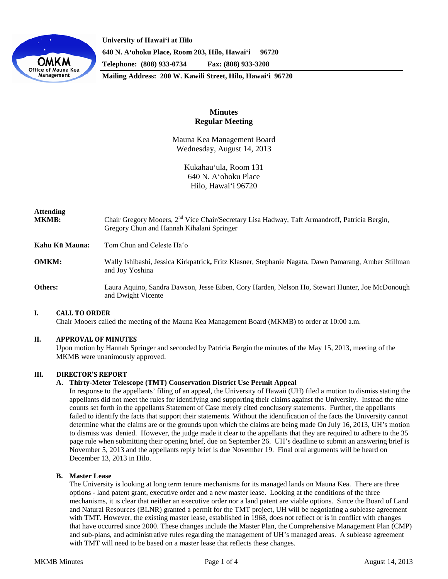

**University of Hawaiʻi at Hilo 640 N. A'ohoku Place, Room 203, Hilo, Hawai'i 96720 Telephone: (808) 933-0734 Fax: (808) 933-3208**

**Mailing Address: 200 W. Kawili Street, Hilo, Hawai'i 96720**

# **Minutes Regular Meeting**

Mauna Kea Management Board Wednesday, August 14, 2013

> Kukahau'ula, Room 131 640 N. A'ohoku Place Hilo, Hawai'i 96720

# **Attending MKMB:** Chair Gregory Mooers, 2nd Vice Chair/Secretary Lisa Hadway, Taft Armandroff, Patricia Bergin, Gregory Chun and Hannah Kihalani Springer **Kahu Kū Mauna:** Tom Chun and Celeste Haʻo **OMKM:** Wally Ishibashi, Jessica Kirkpatrick**,** Fritz Klasner, Stephanie Nagata, Dawn Pamarang, Amber Stillman and Joy Yoshina **Others:** Laura Aquino, Sandra Dawson, Jesse Eiben, Cory Harden, Nelson Ho, Stewart Hunter, Joe McDonough and Dwight Vicente

# **I. CALL TO ORDER**

Chair Mooers called the meeting of the Mauna Kea Management Board (MKMB) to order at 10:00 a.m.

# **II. APPROVAL OF MINUTES**

Upon motion by Hannah Springer and seconded by Patricia Bergin the minutes of the May 15, 2013, meeting of the MKMB were unanimously approved.

# **III. DIRECTOR'S REPORT**

# **A. Thirty-Meter Telescope (TMT) Conservation District Use Permit Appeal**

In response to the appellants' filing of an appeal, the University of Hawaii (UH) filed a motion to dismiss stating the appellants did not meet the rules for identifying and supporting their claims against the University. Instead the nine counts set forth in the appellants Statement of Case merely cited conclusory statements. Further, the appellants failed to identify the facts that support their statements. Without the identification of the facts the University cannot determine what the claims are or the grounds upon which the claims are being made On July 16, 2013, UH's motion to dismiss was denied. However, the judge made it clear to the appellants that they are required to adhere to the 35 page rule when submitting their opening brief, due on September 26. UH's deadline to submit an answering brief is November 5, 2013 and the appellants reply brief is due November 19. Final oral arguments will be heard on December 13, 2013 in Hilo.

# **B. Master Lease**

The University is looking at long term tenure mechanisms for its managed lands on Mauna Kea. There are three options - land patent grant, executive order and a new master lease. Looking at the conditions of the three mechanisms, it is clear that neither an executive order nor a land patent are viable options. Since the Board of Land and Natural Resources (BLNR) granted a permit for the TMT project, UH will be negotiating a sublease agreement with TMT. However, the existing master lease, established in 1968, does not reflect or is in conflict with changes that have occurred since 2000. These changes include the Master Plan, the Comprehensive Management Plan (CMP) and sub-plans, and administrative rules regarding the management of UH's managed areas. A sublease agreement with TMT will need to be based on a master lease that reflects these changes.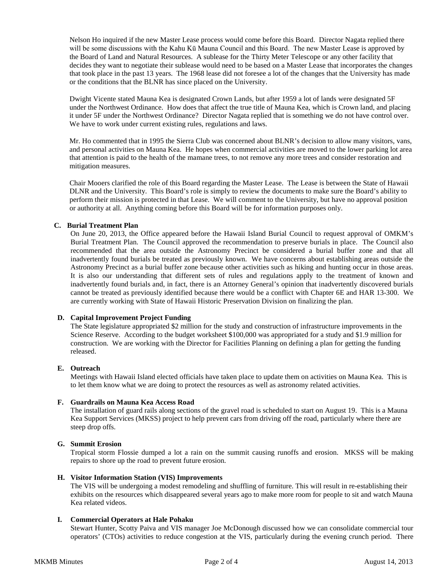Nelson Ho inquired if the new Master Lease process would come before this Board. Director Nagata replied there will be some discussions with the Kahu Kū Mauna Council and this Board. The new Master Lease is approved by the Board of Land and Natural Resources. A sublease for the Thirty Meter Telescope or any other facility that decides they want to negotiate their sublease would need to be based on a Master Lease that incorporates the changes that took place in the past 13 years. The 1968 lease did not foresee a lot of the changes that the University has made or the conditions that the BLNR has since placed on the University.

Dwight Vicente stated Mauna Kea is designated Crown Lands, but after 1959 a lot of lands were designated 5F under the Northwest Ordinance. How does that affect the true title of Mauna Kea, which is Crown land, and placing it under 5F under the Northwest Ordinance? Director Nagata replied that is something we do not have control over. We have to work under current existing rules, regulations and laws.

Mr. Ho commented that in 1995 the Sierra Club was concerned about BLNR's decision to allow many visitors, vans, and personal activities on Mauna Kea. He hopes when commercial activities are moved to the lower parking lot area that attention is paid to the health of the mamane trees, to not remove any more trees and consider restoration and mitigation measures.

Chair Mooers clarified the role of this Board regarding the Master Lease. The Lease is between the State of Hawaii DLNR and the University. This Board's role is simply to review the documents to make sure the Board's ability to perform their mission is protected in that Lease. We will comment to the University, but have no approval position or authority at all. Anything coming before this Board will be for information purposes only.

#### **C. Burial Treatment Plan**

On June 20, 2013, the Office appeared before the Hawaii Island Burial Council to request approval of OMKM's Burial Treatment Plan. The Council approved the recommendation to preserve burials in place. The Council also recommended that the area outside the Astronomy Precinct be considered a burial buffer zone and that all inadvertently found burials be treated as previously known. We have concerns about establishing areas outside the Astronomy Precinct as a burial buffer zone because other activities such as hiking and hunting occur in those areas. It is also our understanding that different sets of rules and regulations apply to the treatment of known and inadvertently found burials and, in fact, there is an Attorney General's opinion that inadvertently discovered burials cannot be treated as previously identified because there would be a conflict with Chapter 6E and HAR 13-300. We are currently working with State of Hawaii Historic Preservation Division on finalizing the plan.

# **D. Capital Improvement Project Funding**

The State legislature appropriated \$2 million for the study and construction of infrastructure improvements in the Science Reserve. According to the budget worksheet \$100,000 was appropriated for a study and \$1.9 million for construction. We are working with the Director for Facilities Planning on defining a plan for getting the funding released.

# **E. Outreach**

Meetings with Hawaii Island elected officials have taken place to update them on activities on Mauna Kea. This is to let them know what we are doing to protect the resources as well as astronomy related activities.

#### **F. Guardrails on Mauna Kea Access Road**

The installation of guard rails along sections of the gravel road is scheduled to start on August 19. This is a Mauna Kea Support Services (MKSS) project to help prevent cars from driving off the road, particularly where there are steep drop offs.

#### **G. Summit Erosion**

Tropical storm Flossie dumped a lot a rain on the summit causing runoffs and erosion. MKSS will be making repairs to shore up the road to prevent future erosion.

#### **H. Visitor Information Station (VIS) Improvements**

The VIS will be undergoing a modest remodeling and shuffling of furniture. This will result in re-establishing their exhibits on the resources which disappeared several years ago to make more room for people to sit and watch Mauna Kea related videos.

# **I. Commercial Operators at Hale Pohaku**

Stewart Hunter, Scotty Paiva and VIS manager Joe McDonough discussed how we can consolidate commercial tour operators' (CTOs) activities to reduce congestion at the VIS, particularly during the evening crunch period. There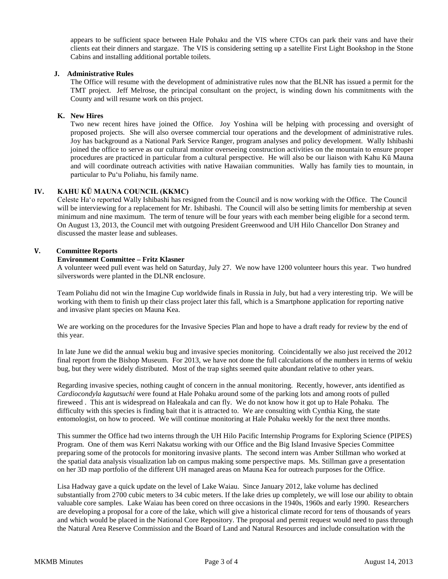appears to be sufficient space between Hale Pohaku and the VIS where CTOs can park their vans and have their clients eat their dinners and stargaze. The VIS is considering setting up a satellite First Light Bookshop in the Stone Cabins and installing additional portable toilets.

#### **J. Administrative Rules**

The Office will resume with the development of administrative rules now that the BLNR has issued a permit for the TMT project. Jeff Melrose, the principal consultant on the project, is winding down his commitments with the County and will resume work on this project.

#### **K. New Hires**

Two new recent hires have joined the Office. Joy Yoshina will be helping with processing and oversight of proposed projects. She will also oversee commercial tour operations and the development of administrative rules. Joy has background as a National Park Service Ranger, program analyses and policy development. Wally Ishibashi joined the office to serve as our cultural monitor overseeing construction activities on the mountain to ensure proper procedures are practiced in particular from a cultural perspective. He will also be our liaison with Kahu Kū Mauna and will coordinate outreach activities with native Hawaiian communities. Wally has family ties to mountain, in particular to Puʻu Poliahu, his family name.

# **IV. KAHU KŪ MAUNA COUNCIL (KKMC)**

Celeste Haʻo reported Wally Ishibashi has resigned from the Council and is now working with the Office. The Council will be interviewing for a replacement for Mr. Ishibashi. The Council will also be setting limits for membership at seven minimum and nine maximum. The term of tenure will be four years with each member being eligible for a second term. On August 13, 2013, the Council met with outgoing President Greenwood and UH Hilo Chancellor Don Straney and discussed the master lease and subleases.

# **V. Committee Reports**

#### **Environment Committee – Fritz Klasner**

A volunteer weed pull event was held on Saturday, July 27. We now have 1200 volunteer hours this year. Two hundred silverswords were planted in the DLNR enclosure.

Team Poliahu did not win the Imagine Cup worldwide finals in Russia in July, but had a very interesting trip. We will be working with them to finish up their class project later this fall, which is a Smartphone application for reporting native and invasive plant species on Mauna Kea.

We are working on the procedures for the Invasive Species Plan and hope to have a draft ready for review by the end of this year.

In late June we did the annual wekiu bug and invasive species monitoring. Coincidentally we also just received the 2012 final report from the Bishop Museum. For 2013, we have not done the full calculations of the numbers in terms of wekiu bug, but they were widely distributed. Most of the trap sights seemed quite abundant relative to other years.

Regarding invasive species, nothing caught of concern in the annual monitoring. Recently, however, ants identified as *Cardiocondyla kagutsuchi* were found at Hale Pohaku around some of the parking lots and among roots of pulled fireweed . This ant is widespread on Haleakala and can fly. We do not know how it got up to Hale Pohaku. The difficulty with this species is finding bait that it is attracted to. We are consulting with Cynthia King, the state entomologist, on how to proceed. We will continue monitoring at Hale Pohaku weekly for the next three months.

This summer the Office had two interns through the UH Hilo [Pacific Internship Programs for Exploring Science](http://www.uhh.hawaii.edu/uhintern/) (PIPES) Program. One of them was Kerri Nakatsu working with our Office and the Big Island Invasive Species Committee preparing some of the protocols for monitoring invasive plants. The second intern was Amber Stillman who worked at the spatial data analysis visualization lab on campus making some perspective maps. Ms. Stillman gave a presentation on her 3D map portfolio of the different UH managed areas on Mauna Kea for outreach purposes for the Office.

Lisa Hadway gave a quick update on the level of Lake Waiau. Since January 2012, lake volume has declined substantially from 2700 cubic meters to 34 cubic meters. If the lake dries up completely, we will lose our ability to obtain valuable core samples. Lake Waiau has been cored on three occasions in the 1940s, 1960s and early 1990. Researchers are developing a proposal for a core of the lake, which will give a historical climate record for tens of thousands of years and which would be placed in the National Core Repository. The proposal and permit request would need to pass through the Natural Area Reserve Commission and the Board of Land and Natural Resources and include consultation with the